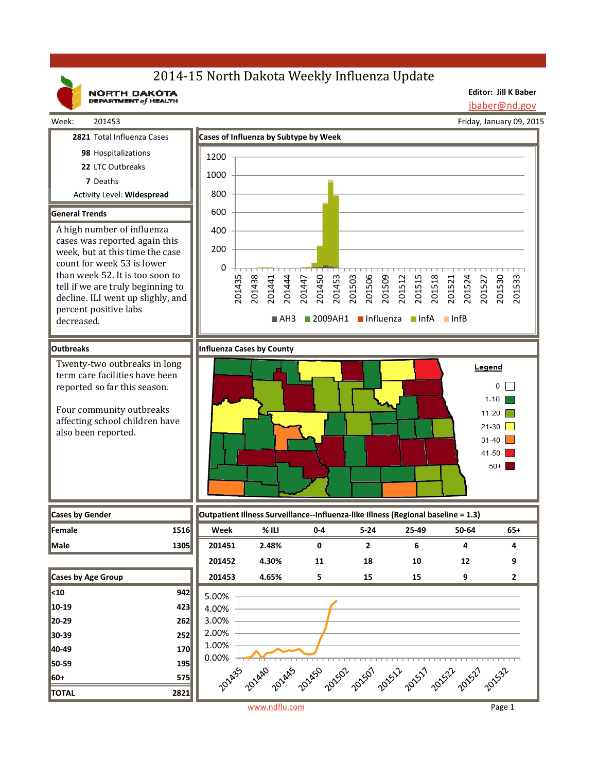# 2014-15 North Dakota Weekly Influenza Update

NORTH DAKOTA

**Editor: Jill K Baber** jbaber@nd.gov

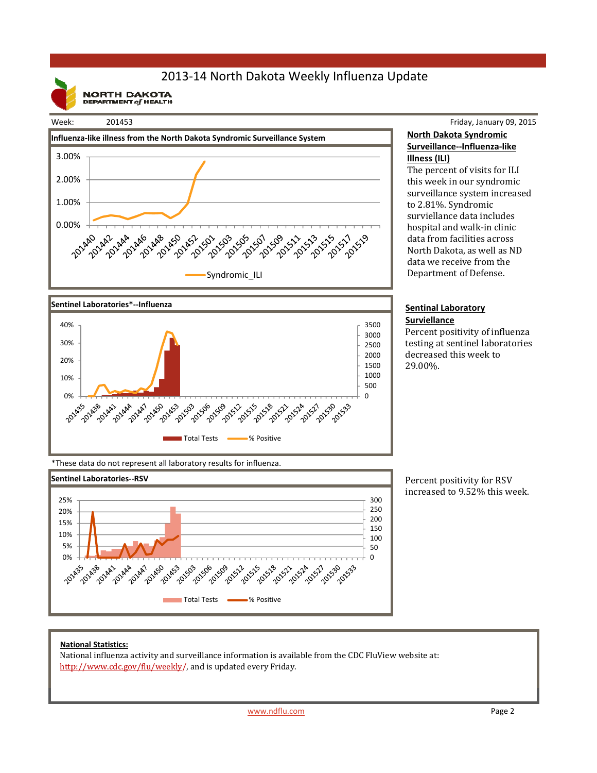# 2013‐14 North Dakota Weekly Influenza Update

**NORTH DAKOTA**<br>DEPARTMENT of HEALTH



### Friday, January 09, 2015 **North Dakota Syndromic Surveillance‐‐Influenza‐like Illness (ILI)**

The percent of visits for ILI this week in our syndromic surveillance system increased to 2.81%. Syndromic surviellance data includes hospital and walk-in clinic data from facilities across North Dakota, as well as ND data we receive from the Department of Defense.

#### **Sentinal Laboratory Surviellance**

Percent positivity of influenza testing at sentinel laboratories decreased this week to 29.00%. 

\*These data do not represent all laboratory results for influenza.

144 2014

AA7 201450 **150-AS3** 

2014-20

2902442



Total Tests **Water State** % Positive

221-2014 324 327 20

521-01590

**139-1339** 

251-01-01 2332-20

2015-06

**001-0021 1015-2019** 221-2014

1015-00

Percent positivity for RSV increased to 9.52% this week.

### **National Statistics:**

201435

255 2024

10% 20%

National influenza activity and surveillance information is available from the CDC FluView website at: http://www.cdc.gov/flu/weekly/, and is updated every Friday.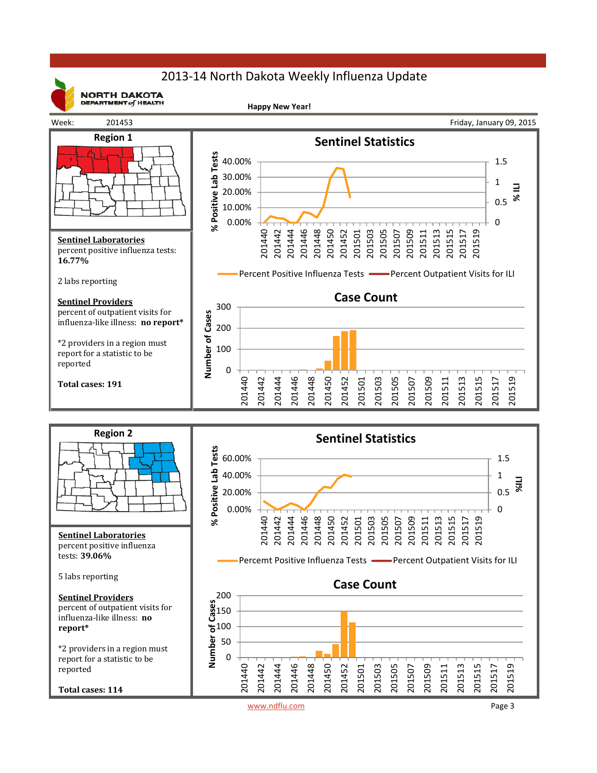# 2013‐14 North Dakota Weekly Influenza Update



**NORTH DAKOTA** DEPARTMENT  $of$  HEALTH

**Happy New Year!**